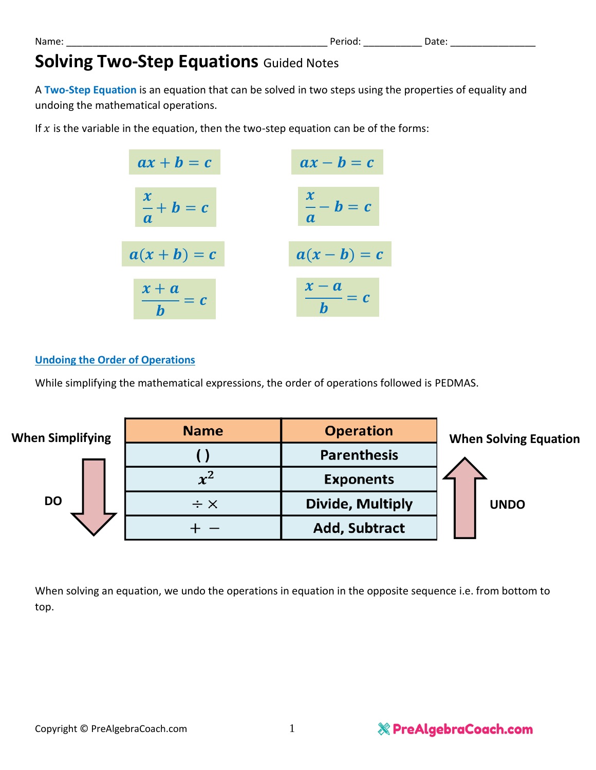# **Solving Two-Step Equations Guided Notes**

A **Two-Step Equation** is an equation that can be solved in two steps using the properties of equality and undoing the mathematical operations.

If  $x$  is the variable in the equation, then the two-step equation can be of the forms:



### **Undoing the Order of Operations**

While simplifying the mathematical expressions, the order of operations followed is PEDMAS.



When solving an equation, we undo the operations in equation in the opposite sequence i.e. from bottom to top.

Name: \_\_\_\_\_\_\_\_\_\_\_\_\_\_\_\_\_\_\_\_\_\_\_\_\_\_\_\_\_\_\_\_\_\_\_\_\_\_\_\_\_\_\_\_\_\_\_\_\_ Period: \_\_\_\_\_\_\_\_\_\_\_ Date: \_\_\_\_\_\_\_\_\_\_\_\_\_\_\_\_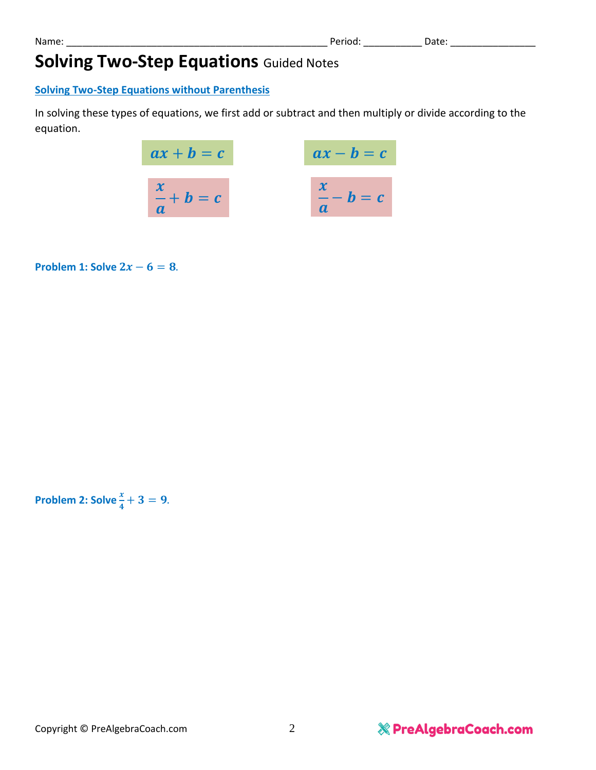## **Solving Two-Step Equations** Guided Notes

#### **Solving Two-Step Equations without Parenthesis**

In solving these types of equations, we first add or subtract and then multiply or divide according to the equation.

$$
ax + b = c
$$

$$
ax - b = c
$$

$$
\frac{x}{a} + b = c
$$

$$
\frac{x}{a} - b = c
$$

**Problem 1: Solve**  $2x - 6 = 8$ **.** 

Problem 2: Solve 
$$
\frac{x}{4} + 3 = 9
$$
.